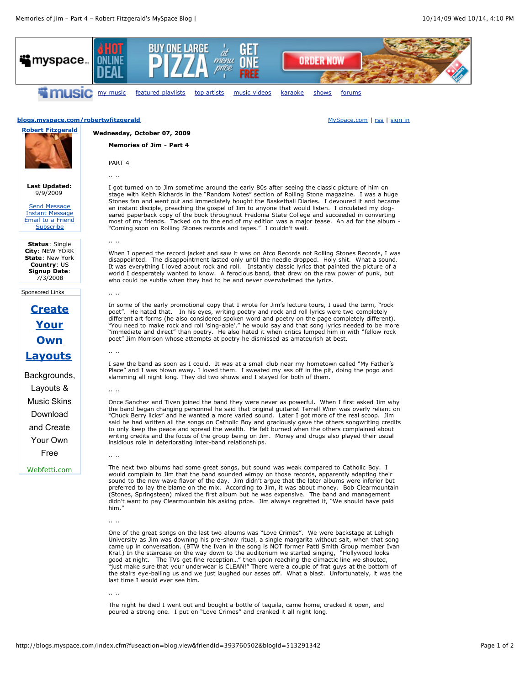